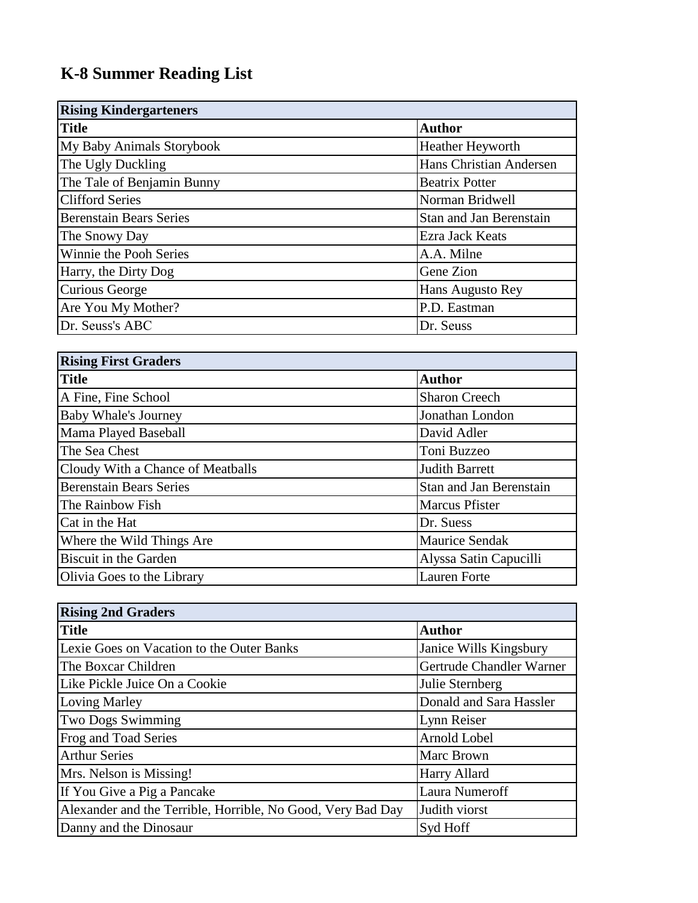## **K-8 Summer Reading List**

| <b>Rising Kindergarteners</b>  |                         |
|--------------------------------|-------------------------|
| <b>Title</b>                   | <b>Author</b>           |
| My Baby Animals Storybook      | <b>Heather Heyworth</b> |
| The Ugly Duckling              | Hans Christian Andersen |
| The Tale of Benjamin Bunny     | <b>Beatrix Potter</b>   |
| <b>Clifford Series</b>         | Norman Bridwell         |
| <b>Berenstain Bears Series</b> | Stan and Jan Berenstain |
| The Snowy Day                  | <b>Ezra Jack Keats</b>  |
| Winnie the Pooh Series         | A.A. Milne              |
| Harry, the Dirty Dog           | Gene Zion               |
| Curious George                 | Hans Augusto Rey        |
| Are You My Mother?             | P.D. Eastman            |
| Dr. Seuss's ABC                | Dr. Seuss               |

| <b>Rising First Graders</b>       |                         |
|-----------------------------------|-------------------------|
| <b>Title</b>                      | <b>Author</b>           |
| A Fine, Fine School               | <b>Sharon Creech</b>    |
| <b>Baby Whale's Journey</b>       | Jonathan London         |
| Mama Played Baseball              | David Adler             |
| The Sea Chest                     | Toni Buzzeo             |
| Cloudy With a Chance of Meatballs | <b>Judith Barrett</b>   |
| <b>Berenstain Bears Series</b>    | Stan and Jan Berenstain |
| The Rainbow Fish                  | <b>Marcus Pfister</b>   |
| Cat in the Hat                    | Dr. Suess               |
| Where the Wild Things Are         | <b>Maurice Sendak</b>   |
| Biscuit in the Garden             | Alyssa Satin Capucilli  |
| Olivia Goes to the Library        | <b>Lauren Forte</b>     |

| <b>Rising 2nd Graders</b>                                   |                          |  |
|-------------------------------------------------------------|--------------------------|--|
| <b>Title</b>                                                | <b>Author</b>            |  |
| Lexie Goes on Vacation to the Outer Banks                   | Janice Wills Kingsbury   |  |
| The Boxcar Children                                         | Gertrude Chandler Warner |  |
| Like Pickle Juice On a Cookie                               | Julie Sternberg          |  |
| Loving Marley                                               | Donald and Sara Hassler  |  |
| <b>Two Dogs Swimming</b>                                    | Lynn Reiser              |  |
| Frog and Toad Series                                        | Arnold Lobel             |  |
| <b>Arthur Series</b>                                        | Marc Brown               |  |
| Mrs. Nelson is Missing!                                     | Harry Allard             |  |
| If You Give a Pig a Pancake                                 | Laura Numeroff           |  |
| Alexander and the Terrible, Horrible, No Good, Very Bad Day | Judith viorst            |  |
| Danny and the Dinosaur                                      | Syd Hoff                 |  |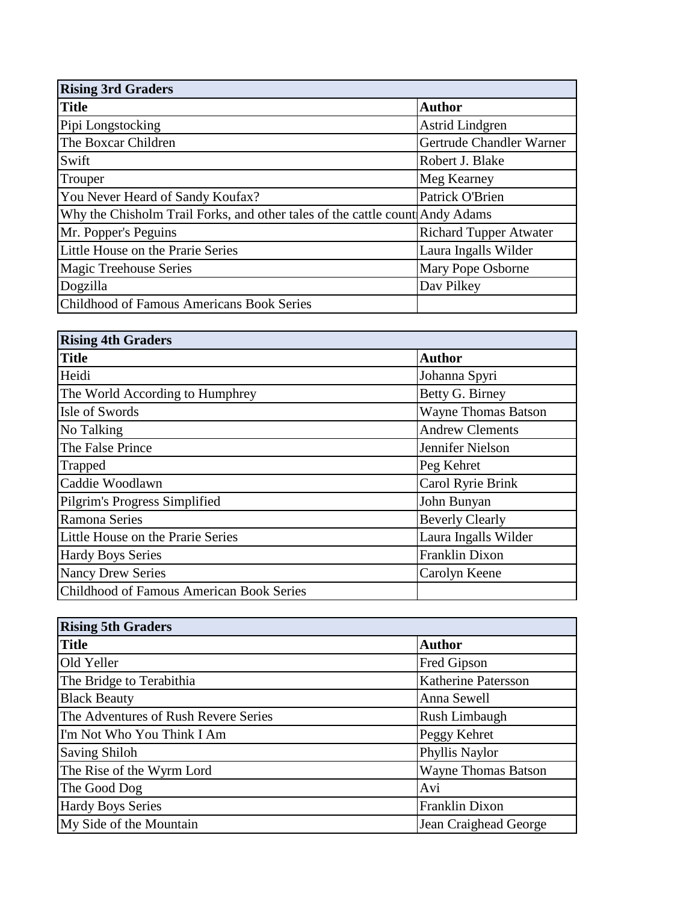| <b>Rising 3rd Graders</b>                                                    |                               |
|------------------------------------------------------------------------------|-------------------------------|
| <b>Title</b>                                                                 | <b>Author</b>                 |
| Pipi Longstocking                                                            | <b>Astrid Lindgren</b>        |
| The Boxcar Children                                                          | Gertrude Chandler Warner      |
| Swift                                                                        | Robert J. Blake               |
| Trouper                                                                      | Meg Kearney                   |
| You Never Heard of Sandy Koufax?                                             | Patrick O'Brien               |
| Why the Chisholm Trail Forks, and other tales of the cattle count Andy Adams |                               |
| Mr. Popper's Peguins                                                         | <b>Richard Tupper Atwater</b> |
| Little House on the Prarie Series                                            | Laura Ingalls Wilder          |
| <b>Magic Treehouse Series</b>                                                | Mary Pope Osborne             |
| Dogzilla                                                                     | Dav Pilkey                    |
| Childhood of Famous Americans Book Series                                    |                               |

| <b>Rising 4th Graders</b>                |                            |
|------------------------------------------|----------------------------|
| <b>Title</b>                             | <b>Author</b>              |
| Heidi                                    | Johanna Spyri              |
| The World According to Humphrey          | Betty G. Birney            |
| Isle of Swords                           | <b>Wayne Thomas Batson</b> |
| No Talking                               | <b>Andrew Clements</b>     |
| The False Prince                         | Jennifer Nielson           |
| Trapped                                  | Peg Kehret                 |
| Caddie Woodlawn                          | Carol Ryrie Brink          |
| Pilgrim's Progress Simplified            | John Bunyan                |
| <b>Ramona Series</b>                     | <b>Beverly Clearly</b>     |
| Little House on the Prarie Series        | Laura Ingalls Wilder       |
| <b>Hardy Boys Series</b>                 | Franklin Dixon             |
| <b>Nancy Drew Series</b>                 | Carolyn Keene              |
| Childhood of Famous American Book Series |                            |

| <b>Rising 5th Graders</b>            |                            |
|--------------------------------------|----------------------------|
| <b>Title</b>                         | <b>Author</b>              |
| Old Yeller                           | Fred Gipson                |
| The Bridge to Terabithia             | <b>Katherine Patersson</b> |
| <b>Black Beauty</b>                  | Anna Sewell                |
| The Adventures of Rush Revere Series | Rush Limbaugh              |
| I'm Not Who You Think I Am           | Peggy Kehret               |
| <b>Saving Shiloh</b>                 | Phyllis Naylor             |
| The Rise of the Wyrm Lord            | <b>Wayne Thomas Batson</b> |
| The Good Dog                         | Avi                        |
| <b>Hardy Boys Series</b>             | <b>Franklin Dixon</b>      |
| My Side of the Mountain              | Jean Craighead George      |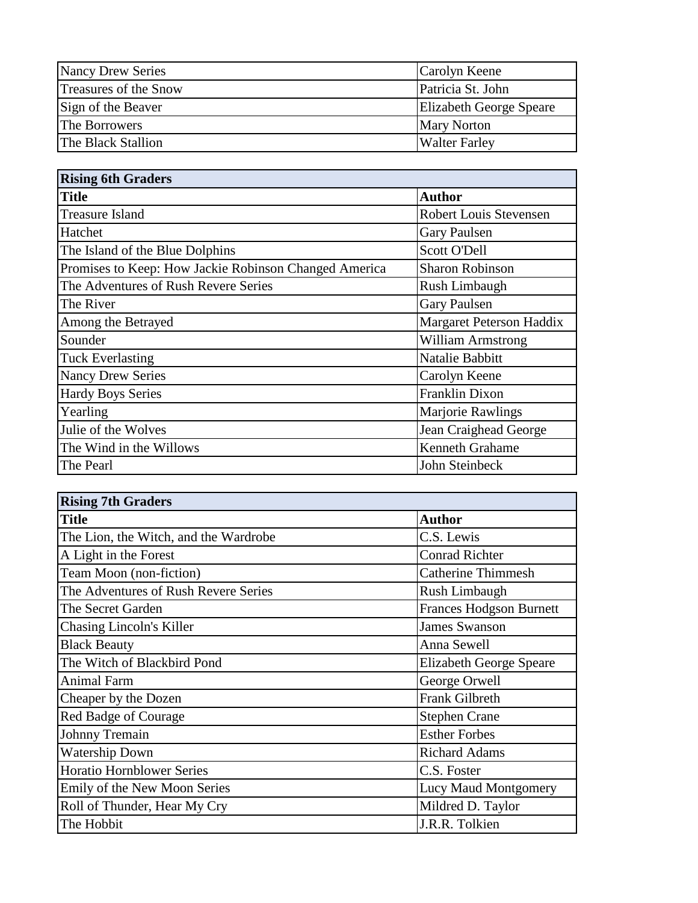| <b>Nancy Drew Series</b> | Carolyn Keene                  |
|--------------------------|--------------------------------|
| Treasures of the Snow    | Patricia St. John              |
| Sign of the Beaver       | <b>Elizabeth George Speare</b> |
| The Borrowers            | <b>Mary Norton</b>             |
| The Black Stallion       | <b>Walter Farley</b>           |

| <b>Rising 6th Graders</b>                             |                               |  |
|-------------------------------------------------------|-------------------------------|--|
| <b>Title</b>                                          | <b>Author</b>                 |  |
| <b>Treasure Island</b>                                | <b>Robert Louis Stevensen</b> |  |
| Hatchet                                               | <b>Gary Paulsen</b>           |  |
| The Island of the Blue Dolphins                       | Scott O'Dell                  |  |
| Promises to Keep: How Jackie Robinson Changed America | <b>Sharon Robinson</b>        |  |
| The Adventures of Rush Revere Series                  | Rush Limbaugh                 |  |
| The River                                             | Gary Paulsen                  |  |
| Among the Betrayed                                    | Margaret Peterson Haddix      |  |
| Sounder                                               | <b>William Armstrong</b>      |  |
| <b>Tuck Everlasting</b>                               | Natalie Babbitt               |  |
| <b>Nancy Drew Series</b>                              | Carolyn Keene                 |  |
| <b>Hardy Boys Series</b>                              | Franklin Dixon                |  |
| Yearling                                              | <b>Marjorie Rawlings</b>      |  |
| Julie of the Wolves                                   | Jean Craighead George         |  |
| The Wind in the Willows                               | Kenneth Grahame               |  |
| The Pearl                                             | John Steinbeck                |  |

| <b>Rising 7th Graders</b>             |                                |
|---------------------------------------|--------------------------------|
| <b>Title</b>                          | <b>Author</b>                  |
| The Lion, the Witch, and the Wardrobe | C.S. Lewis                     |
| A Light in the Forest                 | <b>Conrad Richter</b>          |
| Team Moon (non-fiction)               | <b>Catherine Thimmesh</b>      |
| The Adventures of Rush Revere Series  | Rush Limbaugh                  |
| The Secret Garden                     | <b>Frances Hodgson Burnett</b> |
| <b>Chasing Lincoln's Killer</b>       | <b>James Swanson</b>           |
| <b>Black Beauty</b>                   | Anna Sewell                    |
| The Witch of Blackbird Pond           | <b>Elizabeth George Speare</b> |
| <b>Animal Farm</b>                    | George Orwell                  |
| Cheaper by the Dozen                  | Frank Gilbreth                 |
| Red Badge of Courage                  | <b>Stephen Crane</b>           |
| <b>Johnny Tremain</b>                 | <b>Esther Forbes</b>           |
| <b>Watership Down</b>                 | <b>Richard Adams</b>           |
| <b>Horatio Hornblower Series</b>      | C.S. Foster                    |
| Emily of the New Moon Series          | <b>Lucy Maud Montgomery</b>    |
| Roll of Thunder, Hear My Cry          | Mildred D. Taylor              |
| The Hobbit                            | J.R.R. Tolkien                 |